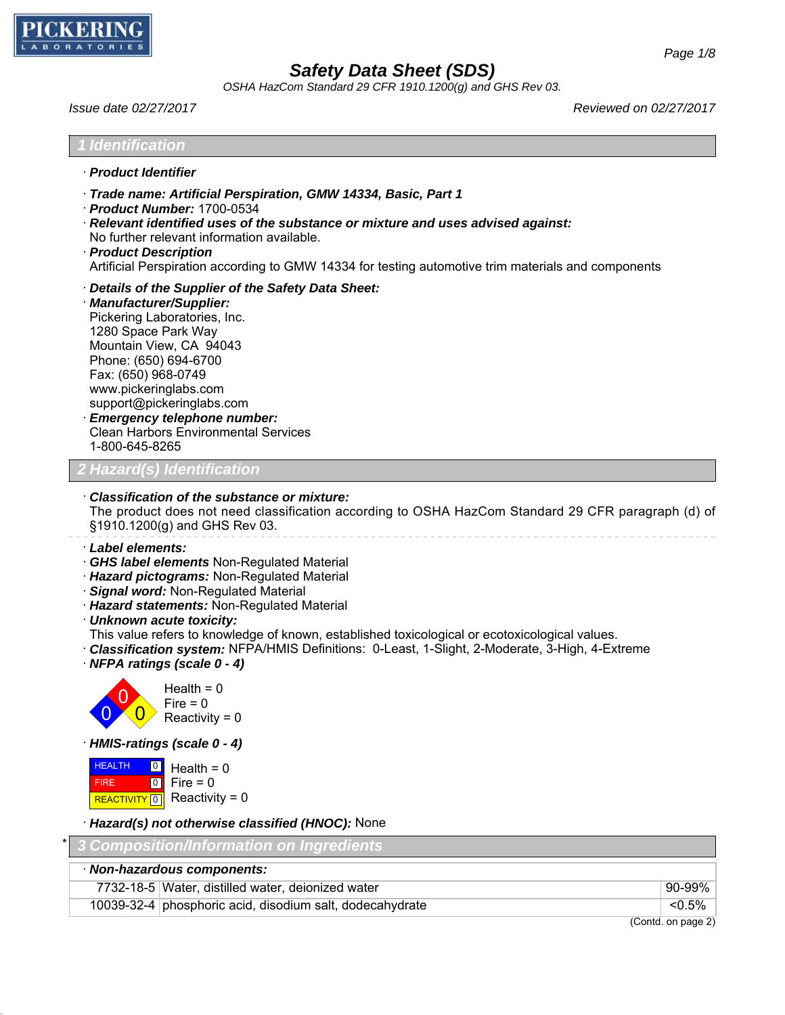

*OSHA HazCom Standard 29 CFR 1910.1200(g) and GHS Rev 03.*

*Issue date 02/27/2017 Reviewed on 02/27/2017*

| <b>Identification</b>                                                                                                                                                                                                                                                                                                                                                                                                                                                    |        |
|--------------------------------------------------------------------------------------------------------------------------------------------------------------------------------------------------------------------------------------------------------------------------------------------------------------------------------------------------------------------------------------------------------------------------------------------------------------------------|--------|
| · Product Identifier                                                                                                                                                                                                                                                                                                                                                                                                                                                     |        |
| Trade name: Artificial Perspiration, GMW 14334, Basic, Part 1<br>· Product Number: 1700-0534<br>Relevant identified uses of the substance or mixture and uses advised against:<br>No further relevant information available.<br>· Product Description<br>Artificial Perspiration according to GMW 14334 for testing automotive trim materials and components                                                                                                             |        |
| Details of the Supplier of the Safety Data Sheet:<br>· Manufacturer/Supplier:<br>Pickering Laboratories, Inc.<br>1280 Space Park Way<br>Mountain View, CA 94043<br>Phone: (650) 694-6700<br>Fax: (650) 968-0749<br>www.pickeringlabs.com<br>support@pickeringlabs.com<br><b>Emergency telephone number:</b><br><b>Clean Harbors Environmental Services</b><br>1-800-645-8265                                                                                             |        |
| Hazard(s) Identification                                                                                                                                                                                                                                                                                                                                                                                                                                                 |        |
| <b>Classification of the substance or mixture:</b><br>The product does not need classification according to OSHA HazCom Standard 29 CFR paragraph (d) of<br>§1910.1200(g) and GHS Rev 03.                                                                                                                                                                                                                                                                                |        |
| Label elements:<br>GHS label elements Non-Regulated Material<br>· Hazard pictograms: Non-Regulated Material<br>Signal word: Non-Regulated Material<br>Hazard statements: Non-Regulated Material<br>· Unknown acute toxicity:<br>This value refers to knowledge of known, established toxicological or ecotoxicological values.<br>· Classification system: NFPA/HMIS Definitions: 0-Least, 1-Slight, 2-Moderate, 3-High, 4-Extreme<br>$\cdot$ NFPA ratings (scale 0 - 4) |        |
| Health = $0$<br>$\Omega$<br>Fire $= 0$<br>$\overline{0}$<br>Reactivity = $0$                                                                                                                                                                                                                                                                                                                                                                                             |        |
| · HMIS-ratings (scale 0 - 4)                                                                                                                                                                                                                                                                                                                                                                                                                                             |        |
| <b>HEALTH</b><br> 0 <br>Health = $0$<br>$\boxed{0}$<br>Fire $= 0$<br><b>FIRE</b><br>Reactivity = $0$<br><b>REACTIVITY</b> 0                                                                                                                                                                                                                                                                                                                                              |        |
| Hazard(s) not otherwise classified (HNOC): None                                                                                                                                                                                                                                                                                                                                                                                                                          |        |
| <b>Composition/Information on Ingredients</b>                                                                                                                                                                                                                                                                                                                                                                                                                            |        |
| · Non-hazardous components:                                                                                                                                                                                                                                                                                                                                                                                                                                              |        |
| 7732-18-5 Water, distilled water, deionized water                                                                                                                                                                                                                                                                                                                                                                                                                        | 90-99% |

(Contd. on page 2)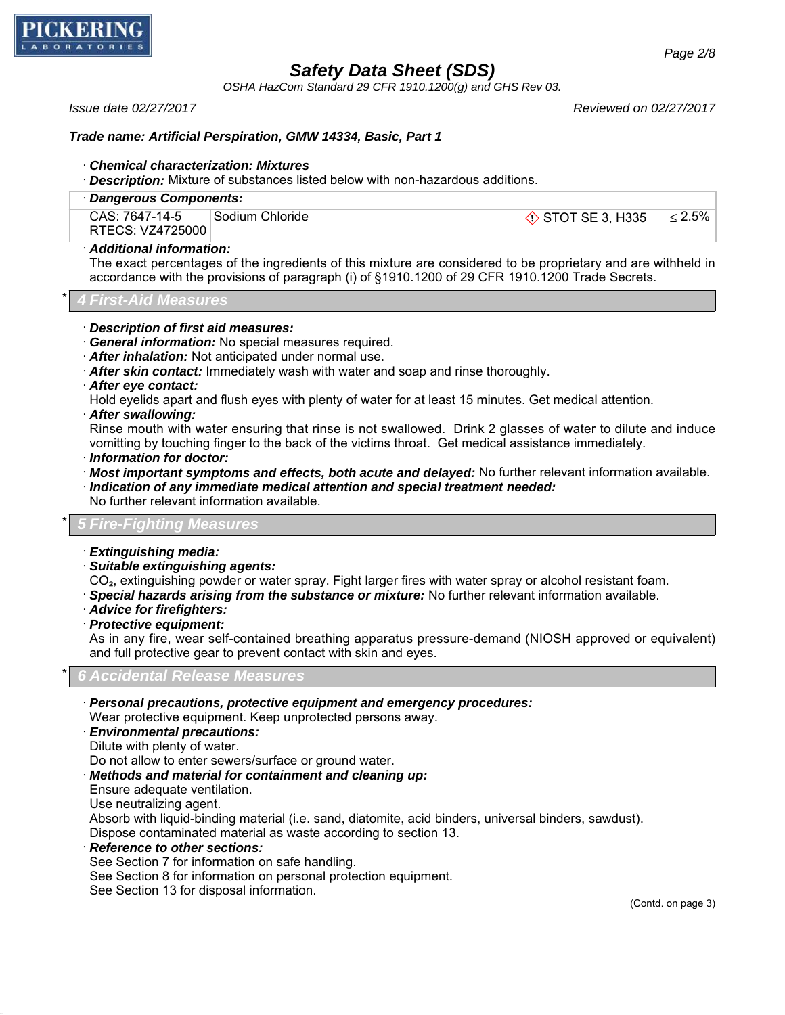

*OSHA HazCom Standard 29 CFR 1910.1200(g) and GHS Rev 03.*

*Issue date 02/27/2017 Reviewed on 02/27/2017*

### *Trade name: Artificial Perspiration, GMW 14334, Basic, Part 1*

#### · *Chemical characterization: Mixtures*

· *Description:* Mixture of substances listed below with non-hazardous additions.

| · Dangerous Components:            |                 |                            |              |
|------------------------------------|-----------------|----------------------------|--------------|
| CAS: 7647-14-5<br>RTECS: VZ4725000 | Sodium Chloride | $\Diamond$ STOT SE 3, H335 | $\leq 2.5\%$ |

### · *Additional information:*

The exact percentages of the ingredients of this mixture are considered to be proprietary and are withheld in accordance with the provisions of paragraph (i) of §1910.1200 of 29 CFR 1910.1200 Trade Secrets.

\* *4 First-Aid Measures*

#### · *Description of first aid measures:*

- · *General information:* No special measures required.
- · *After inhalation:* Not anticipated under normal use.
- · *After skin contact:* Immediately wash with water and soap and rinse thoroughly.
- · *After eye contact:*
- Hold eyelids apart and flush eyes with plenty of water for at least 15 minutes. Get medical attention.
- · *After swallowing:*

Rinse mouth with water ensuring that rinse is not swallowed. Drink 2 glasses of water to dilute and induce vomitting by touching finger to the back of the victims throat. Get medical assistance immediately.

- · *Information for doctor:*
- · *Most important symptoms and effects, both acute and delayed:* No further relevant information available. · *Indication of any immediate medical attention and special treatment needed:*

No further relevant information available.

### \* *5 Fire-Fighting Measures*

- · *Extinguishing media:*
- · *Suitable extinguishing agents:*

CO<sub>2</sub>, extinguishing powder or water spray. Fight larger fires with water spray or alcohol resistant foam.

- · *Special hazards arising from the substance or mixture:* No further relevant information available.
- · *Advice for firefighters:*
- · *Protective equipment:*

As in any fire, wear self-contained breathing apparatus pressure-demand (NIOSH approved or equivalent) and full protective gear to prevent contact with skin and eyes.

\* *6 Accidental Release Measures*

- · *Personal precautions, protective equipment and emergency procedures:*
- Wear protective equipment. Keep unprotected persons away.
- · *Environmental precautions:*
- Dilute with plenty of water.

Do not allow to enter sewers/surface or ground water.

- · *Methods and material for containment and cleaning up:*
- Ensure adequate ventilation.
- Use neutralizing agent.

Absorb with liquid-binding material (i.e. sand, diatomite, acid binders, universal binders, sawdust).

Dispose contaminated material as waste according to section 13.

· *Reference to other sections:*

See Section 7 for information on safe handling.

See Section 8 for information on personal protection equipment.

See Section 13 for disposal information.

(Contd. on page 3)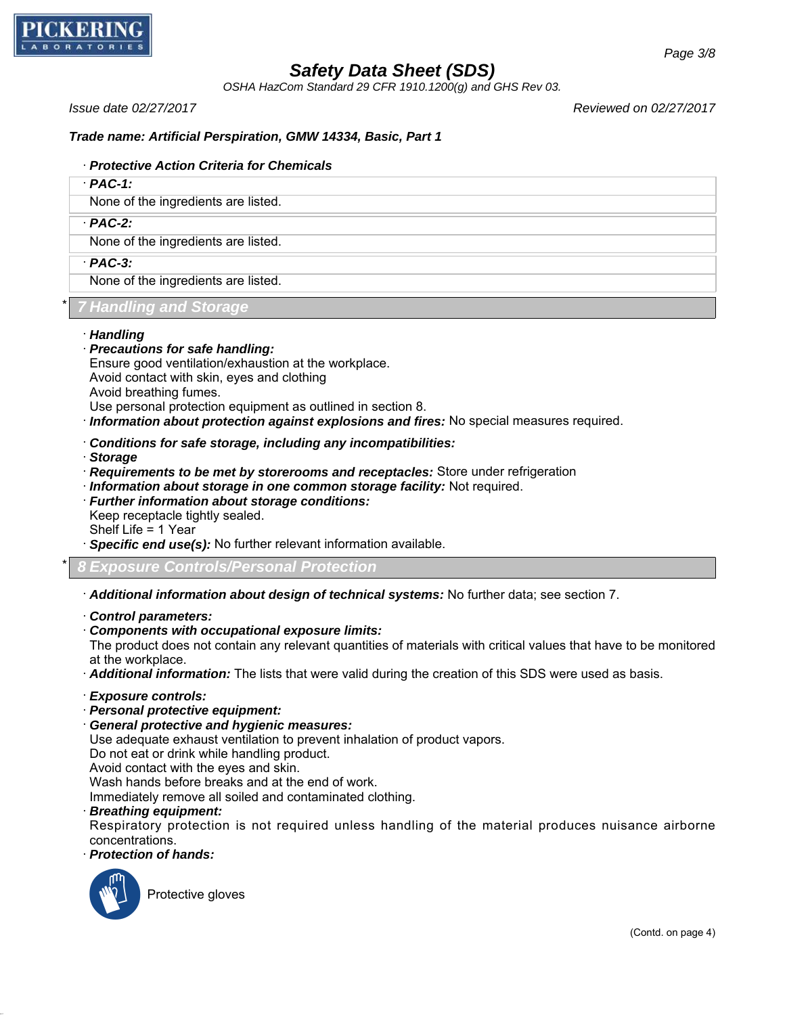

*OSHA HazCom Standard 29 CFR 1910.1200(g) and GHS Rev 03.*

*Issue date 02/27/2017 Reviewed on 02/27/2017*

## *Trade name: Artificial Perspiration, GMW 14334, Basic, Part 1*

### · *Protective Action Criteria for Chemicals*

· *PAC-1:*

None of the ingredients are listed.

· *PAC-2:*

None of the ingredients are listed.

· *PAC-3:*

None of the ingredients are listed.

## \* *7 Handling and Storage*

- · *Handling*
- · *Precautions for safe handling:*

Ensure good ventilation/exhaustion at the workplace. Avoid contact with skin, eyes and clothing Avoid breathing fumes.

- Use personal protection equipment as outlined in section 8.
- · *Information about protection against explosions and fires:* No special measures required.
- · *Conditions for safe storage, including any incompatibilities:*
- · *Storage*
- · *Requirements to be met by storerooms and receptacles:* Store under refrigeration
- · *Information about storage in one common storage facility:* Not required.
- · *Further information about storage conditions:*

Keep receptacle tightly sealed.

Shelf Life = 1 Year

- · *Specific end use(s):* No further relevant information available.
- \* *8 Exposure Controls/Personal Protection*
- · *Additional information about design of technical systems:* No further data; see section 7.
- · *Control parameters:*
- · *Components with occupational exposure limits:*

The product does not contain any relevant quantities of materials with critical values that have to be monitored at the workplace.

· *Additional information:* The lists that were valid during the creation of this SDS were used as basis.

- · *Exposure controls:*
- · *Personal protective equipment:*
- · *General protective and hygienic measures:*

Use adequate exhaust ventilation to prevent inhalation of product vapors.

Do not eat or drink while handling product.

Avoid contact with the eyes and skin.

Wash hands before breaks and at the end of work.

Immediately remove all soiled and contaminated clothing.

· *Breathing equipment:*

Respiratory protection is not required unless handling of the material produces nuisance airborne concentrations.

· *Protection of hands:*



Protective gloves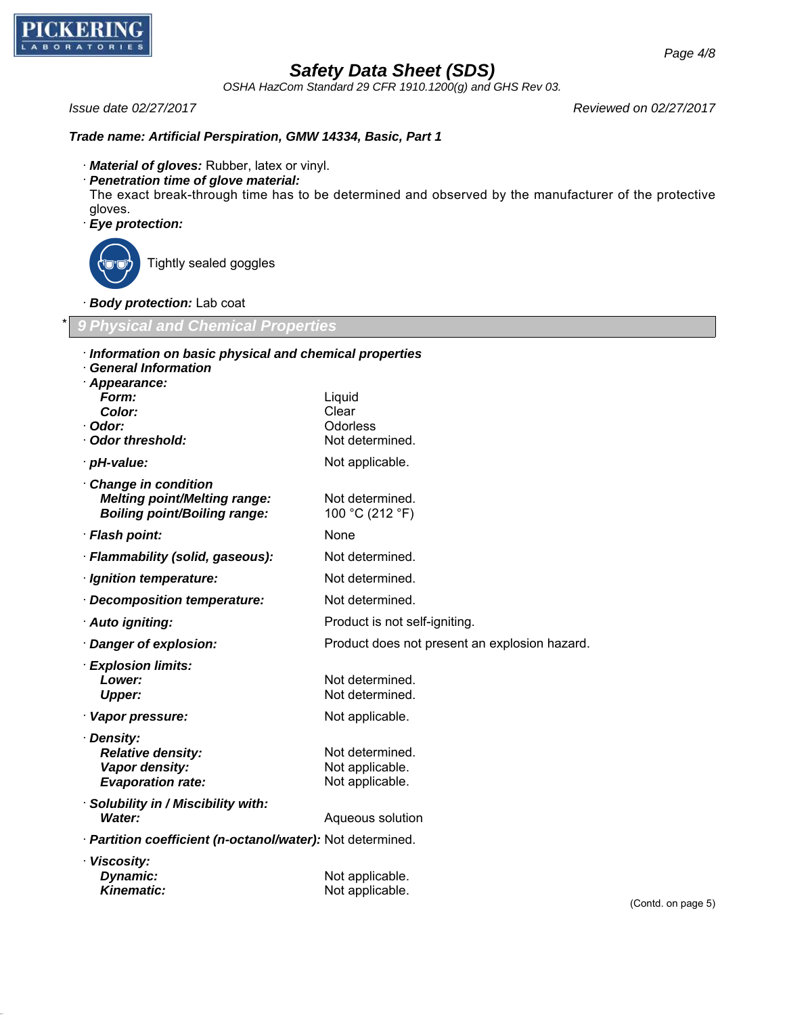

*OSHA HazCom Standard 29 CFR 1910.1200(g) and GHS Rev 03.*

#### *Issue date 02/27/2017 Reviewed on 02/27/2017*

#### *Trade name: Artificial Perspiration, GMW 14334, Basic, Part 1*

- · *Material of gloves:* Rubber, latex or vinyl.
- · *Penetration time of glove material:*

The exact break-through time has to be determined and observed by the manufacturer of the protective gloves.

· *Eye protection:*



Tightly sealed goggles

· *Body protection:* Lab coat

\* *9 Physical and Chemical Properties*

| Information on basic physical and chemical properties      |                                               |
|------------------------------------------------------------|-----------------------------------------------|
| <b>General Information</b><br>· Appearance:                |                                               |
| Form:                                                      | Liquid                                        |
| Color:                                                     | Clear                                         |
| · Odor:                                                    | Odorless                                      |
| Odor threshold:                                            | Not determined.                               |
| · pH-value:                                                | Not applicable.                               |
| Change in condition                                        |                                               |
| <b>Melting point/Melting range:</b>                        | Not determined.                               |
| <b>Boiling point/Boiling range:</b>                        | 100 °C (212 °F)                               |
| · Flash point:                                             | None                                          |
| · Flammability (solid, gaseous):                           | Not determined.                               |
| · Ignition temperature:                                    | Not determined.                               |
| Decomposition temperature:                                 | Not determined.                               |
| · Auto igniting:                                           | Product is not self-igniting.                 |
| · Danger of explosion:                                     | Product does not present an explosion hazard. |
| · Explosion limits:                                        |                                               |
| Lower:                                                     | Not determined.                               |
| <b>Upper:</b>                                              | Not determined.                               |
| · Vapor pressure:                                          | Not applicable.                               |
| · Density:                                                 |                                               |
| <b>Relative density:</b>                                   | Not determined.                               |
| Vapor density:                                             | Not applicable.                               |
| <b>Evaporation rate:</b>                                   | Not applicable.                               |
| · Solubility in / Miscibility with:                        |                                               |
| <b>Water:</b>                                              | Aqueous solution                              |
| · Partition coefficient (n-octanol/water): Not determined. |                                               |
| · Viscosity:                                               |                                               |
| Dynamic:                                                   | Not applicable.                               |
| <b>Kinematic:</b>                                          | Not applicable.                               |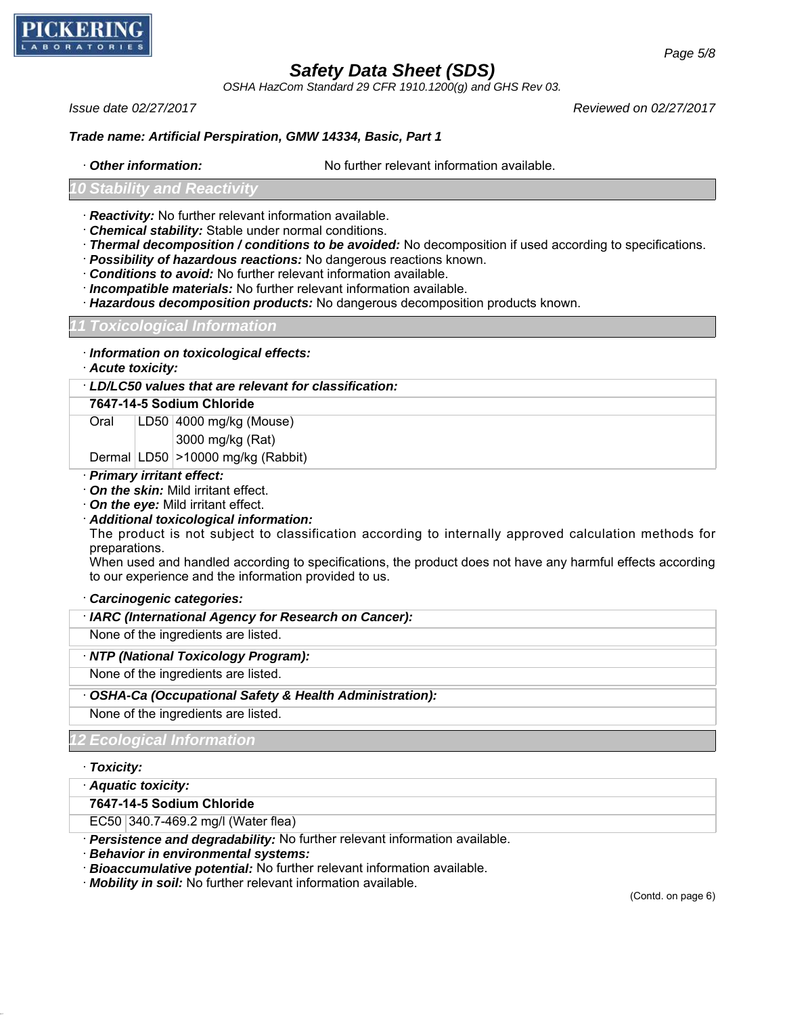

*OSHA HazCom Standard 29 CFR 1910.1200(g) and GHS Rev 03.*

*Issue date 02/27/2017 Reviewed on 02/27/2017*

### *Trade name: Artificial Perspiration, GMW 14334, Basic, Part 1*

· *Other information:* No further relevant information available.

#### *10 Stability and Reactivity*

- · *Reactivity:* No further relevant information available.
- · *Chemical stability:* Stable under normal conditions.
- · *Thermal decomposition / conditions to be avoided:* No decomposition if used according to specifications.
- · *Possibility of hazardous reactions:* No dangerous reactions known.
- · *Conditions to avoid:* No further relevant information available.
- · *Incompatible materials:* No further relevant information available.
- · *Hazardous decomposition products:* No dangerous decomposition products known.

#### *11 Toxicological Information*

- · *Information on toxicological effects:*
- · *Acute toxicity:*

· *LD/LC50 values that are relevant for classification:*

#### **7647-14-5 Sodium Chloride**

Oral LD50 4000 mg/kg (Mouse)

3000 mg/kg (Rat)

Dermal LD50 >10000 mg/kg (Rabbit)

#### · *Primary irritant effect:*

- · *On the skin:* Mild irritant effect.
- · *On the eye:* Mild irritant effect.

#### · *Additional toxicological information:*

The product is not subject to classification according to internally approved calculation methods for preparations.

When used and handled according to specifications, the product does not have any harmful effects according to our experience and the information provided to us.

#### · *Carcinogenic categories:*

| · IARC (International Agency for Research on Cancer): |  |
|-------------------------------------------------------|--|
|-------------------------------------------------------|--|

None of the ingredients are listed.

#### · *NTP (National Toxicology Program):*

None of the ingredients are listed.

· *OSHA-Ca (Occupational Safety & Health Administration):*

None of the ingredients are listed.

#### *12 Ecological Information*

#### · *Toxicity:*

· *Aquatic toxicity:*

**7647-14-5 Sodium Chloride**

EC50 340.7-469.2 mg/l (Water flea)

· *Persistence and degradability:* No further relevant information available.

· *Behavior in environmental systems:*

· *Bioaccumulative potential:* No further relevant information available.

· *Mobility in soil:* No further relevant information available.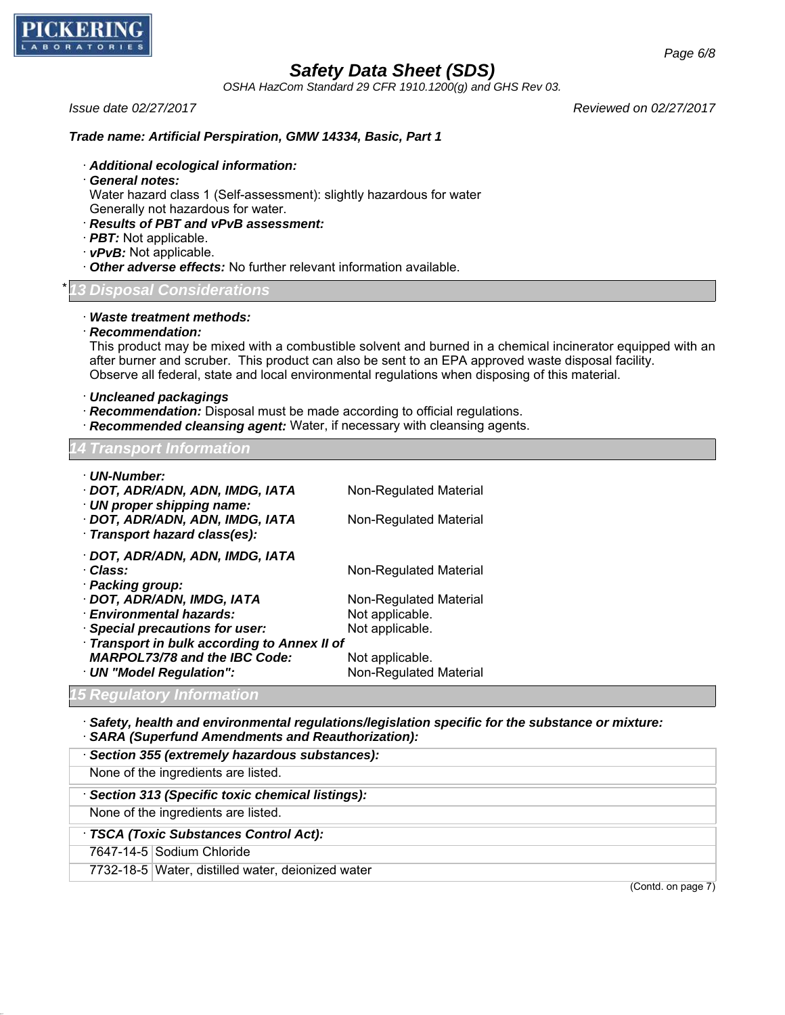

*OSHA HazCom Standard 29 CFR 1910.1200(g) and GHS Rev 03.*

*Issue date 02/27/2017 Reviewed on 02/27/2017*

### *Trade name: Artificial Perspiration, GMW 14334, Basic, Part 1*

- · *Additional ecological information:*
- · *General notes:*

Water hazard class 1 (Self-assessment): slightly hazardous for water

- Generally not hazardous for water.
- · *Results of PBT and vPvB assessment:*
- · *PBT:* Not applicable.
- · *vPvB:* Not applicable.
- · *Other adverse effects:* No further relevant information available.

### \* *13 Disposal Considerations*

- · *Waste treatment methods:*
- · *Recommendation:*

This product may be mixed with a combustible solvent and burned in a chemical incinerator equipped with an after burner and scruber. This product can also be sent to an EPA approved waste disposal facility. Observe all federal, state and local environmental regulations when disposing of this material.

- · *Uncleaned packagings*
- · *Recommendation:* Disposal must be made according to official regulations.
- · *Recommended cleansing agent:* Water, if necessary with cleansing agents.

#### *14 Transport Information*

| · UN-Number:<br>· DOT, ADR/ADN, ADN, IMDG, IATA<br>· UN proper shipping name:<br>· DOT, ADR/ADN, ADN, IMDG, IATA<br>· Transport hazard class(es):                                                                                                                              | Non-Regulated Material<br>Non-Regulated Material                                                                                    |
|--------------------------------------------------------------------------------------------------------------------------------------------------------------------------------------------------------------------------------------------------------------------------------|-------------------------------------------------------------------------------------------------------------------------------------|
| · DOT, ADR/ADN, ADN, IMDG, IATA<br>· Class:<br>· Packing group:<br>· DOT, ADR/ADN, IMDG, IATA<br>· Environmental hazards:<br>· Special precautions for user:<br>Transport in bulk according to Annex II of<br><b>MARPOL73/78 and the IBC Code:</b><br>· UN "Model Regulation": | Non-Regulated Material<br>Non-Regulated Material<br>Not applicable.<br>Not applicable.<br>Not applicable.<br>Non-Regulated Material |
| E Doqulatoru Information                                                                                                                                                                                                                                                       |                                                                                                                                     |

# *15 Regulatory Information*

- · *Safety, health and environmental regulations/legislation specific for the substance or mixture:*
- · *SARA (Superfund Amendments and Reauthorization):*
- · *Section 355 (extremely hazardous substances):*

None of the ingredients are listed.

· *Section 313 (Specific toxic chemical listings):*

None of the ingredients are listed.

## · *TSCA (Toxic Substances Control Act):*

7647-14-5 Sodium Chloride

7732-18-5 Water, distilled water, deionized water

(Contd. on page 7)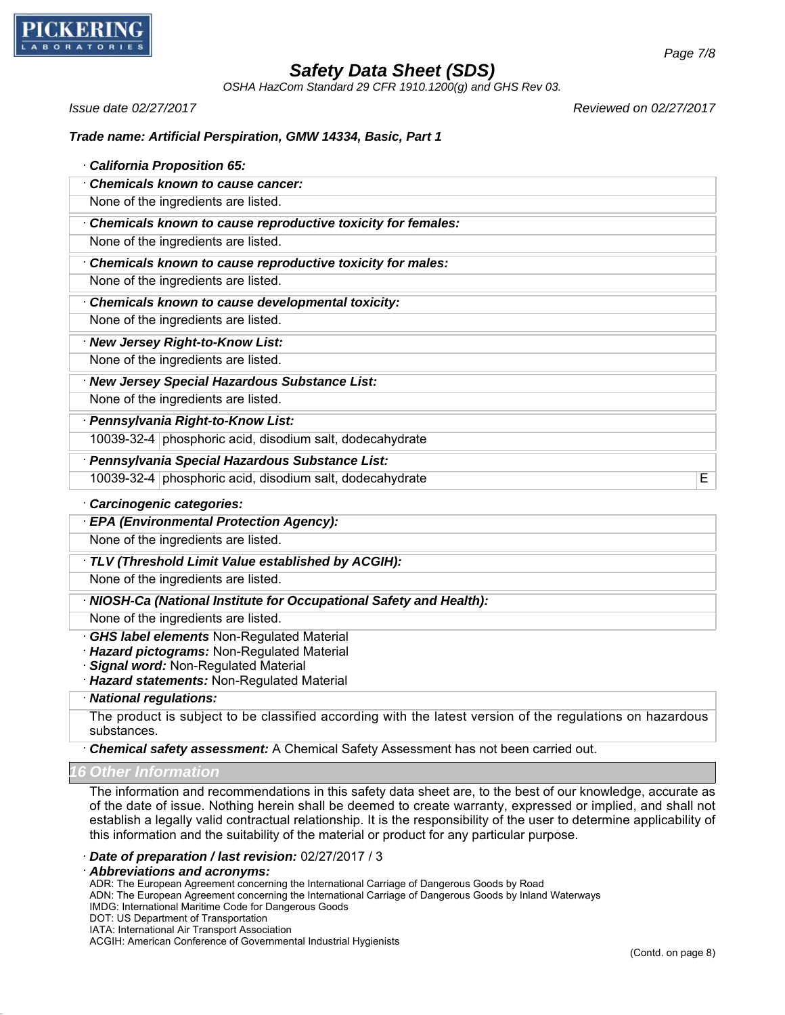

*OSHA HazCom Standard 29 CFR 1910.1200(g) and GHS Rev 03.*

*Issue date 02/27/2017 Reviewed on 02/27/2017*

### *Trade name: Artificial Perspiration, GMW 14334, Basic, Part 1*

| <b>California Proposition 65:</b>                                                                    |
|------------------------------------------------------------------------------------------------------|
| <b>Chemicals known to cause cancer:</b>                                                              |
| None of the ingredients are listed.                                                                  |
| Chemicals known to cause reproductive toxicity for females:                                          |
| None of the ingredients are listed.                                                                  |
| Chemicals known to cause reproductive toxicity for males:                                            |
| None of the ingredients are listed.                                                                  |
| Chemicals known to cause developmental toxicity:                                                     |
| None of the ingredients are listed.                                                                  |
| · New Jersey Right-to-Know List:                                                                     |
| None of the ingredients are listed.                                                                  |
| · New Jersey Special Hazardous Substance List:                                                       |
| None of the ingredients are listed.                                                                  |
| · Pennsylvania Right-to-Know List:                                                                   |
| 10039-32-4 phosphoric acid, disodium salt, dodecahydrate                                             |
| · Pennsylvania Special Hazardous Substance List:                                                     |
| 10039-32-4 phosphoric acid, disodium salt, dodecahydrate<br>E                                        |
| Carcinogenic categories:                                                                             |
| · EPA (Environmental Protection Agency):                                                             |
| None of the ingredients are listed.                                                                  |
| TLV (Threshold Limit Value established by ACGIH):                                                    |
| None of the ingredients are listed.                                                                  |
| · NIOSH-Ca (National Institute for Occupational Safety and Health):                                  |
| None of the ingredients are listed.                                                                  |
| <b>GHS label elements Non-Regulated Material</b><br><b>Hazard pictograms: Non-Regulated Material</b> |
| Signal word: Non-Regulated Material                                                                  |
| · Hazard statements: Non-Regulated Material                                                          |
| · National regulations:                                                                              |

The product is subject to be classified according with the latest version of the regulations on hazardous substances.

· *Chemical safety assessment:* A Chemical Safety Assessment has not been carried out.

*16 Other Information*

The information and recommendations in this safety data sheet are, to the best of our knowledge, accurate as of the date of issue. Nothing herein shall be deemed to create warranty, expressed or implied, and shall not establish a legally valid contractual relationship. It is the responsibility of the user to determine applicability of this information and the suitability of the material or product for any particular purpose.

· *Date of preparation / last revision:* 02/27/2017 / 3

· *Abbreviations and acronyms:*

ADR: The European Agreement concerning the International Carriage of Dangerous Goods by Road

ADN: The European Agreement concerning the International Carriage of Dangerous Goods by Inland Waterways

IMDG: International Maritime Code for Dangerous Goods

IATA: International Air Transport Association

ACGIH: American Conference of Governmental Industrial Hygienists

DOT: US Department of Transportation